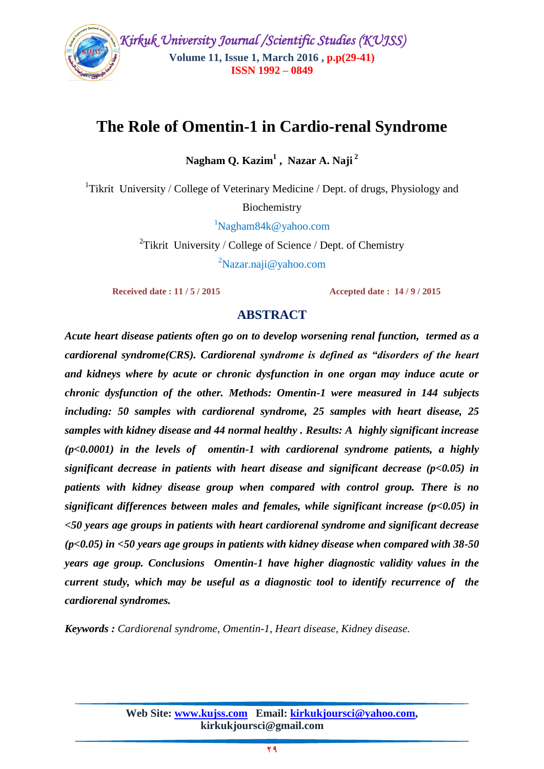

## **The Role of Omentin-1 in Cardio-renal Syndrome**

**Nagham Q. Kazim<sup>1</sup> , Nazar A. Naji <sup>2</sup>**

<sup>1</sup>Tikrit University / College of Veterinary Medicine / Dept. of drugs, Physiology and

Biochemistry

 $1$ Nagham $84k@$ yahoo.com

<sup>2</sup>Tikrit University / College of Science / Dept. of Chemistry <sup>2</sup>Nazar.naji@yahoo.com

 **Received date : 11 / 5 / 2015 Accepted date : 14 / 9 / 2015**

## **ABSTRACT**

*Acute heart disease patients often go on to develop worsening renal function, termed as a cardiorenal syndrome(CRS). Cardiorenal syndrome is defined as "disorders of the heart and kidneys where by acute or chronic dysfunction in one organ may induce acute or chronic dysfunction of the other. Methods: Omentin-1 were measured in 144 subjects including: 50 samples with cardiorenal syndrome, 25 samples with heart disease, 25 samples with kidney disease and 44 normal healthy . Results: A highly significant increase (p<0.0001) in the levels of omentin-1 with cardiorenal syndrome patients, a highly significant decrease in patients with heart disease and significant decrease (p<0.05) in patients with kidney disease group when compared with control group. There is no significant differences between males and females, while significant increase (p<0.05) in <50 years age groups in patients with heart cardiorenal syndrome and significant decrease (p<0.05) in <50 years age groups in patients with kidney disease when compared with 38-50 years age group. Conclusions Omentin-1 have higher diagnostic validity values in the current study, which may be useful as a diagnostic tool to identify recurrence of the cardiorenal syndromes.*

*Keywords : Cardiorenal syndrome, Omentin-1, Heart disease, Kidney disease.*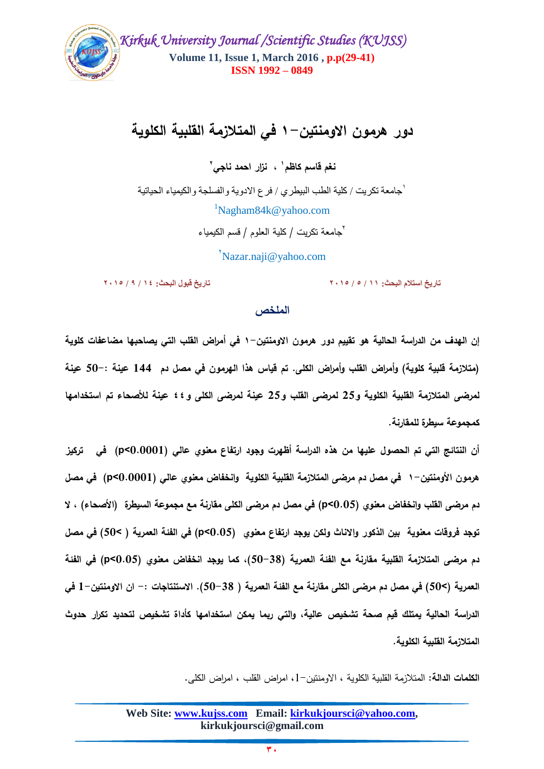

## **دور هرمون االومنتين1- في المتالزمة القمبية الكموية**

**1 نغم قاسم كاظم ، نزار احمد ناجي 2**

1 جامعة تكريت / كلية الطب البيطري / فرع االدوية والفسلجة والكيمياء الحياتية  $1$ Nagham $84k@$ yahoo.com <sup>7</sup>جامعة تكريت / كلية العلوم / قسم الكيمياء

 $Nazar.naji@yahoo.com$ 

**تاريخ استالم البحث: 11 / 5 / 9315 تاريخ قبول البحث: 14 / 2 / 9315**

#### ا**لملخص**

**إن الهدف من الدراسة الحالية هو تقييم دور هرمون االومنتين1- في أمراض القمب التي يصاحبها مضاعفات كموية )متالزمة قمبية كموية( وأمراض القمب وأمراض الكمى. تم قياس هذا الهرمون في مصل دم 144 عينة 50-: عينة لمرضى المتالزمة القمبية الكموية و25 لمرضى القمب و25 عينة لمرضى الكمى و44 عينة لألصحاء تم استخدامها كمجموعة سيطرة لممقارنة.**

**أن النتائج التي تم الحصول عميها من هذه الدراسة أظهرت وجود ارتفاع معنوي عالي (0.0001>p (في تركيز هرمون األومنتين1- في مصل دم مرضى المتالزمة القمبية الكموية وانخفاض معنوي عالي (0.0001>p (في مصل دم مرضى القمب وانخفاض معنوي (0.05>p (في مصل دم مرضى الكمى مقارنة مع مجموعة السيطرة )األصحاء( ، ال توجد فروقات معنوية بين الذكور واالناث ولكن يوجد ارتفاع معنوي (0.05>p (في الفئة العمرية ) <50( في مصل دم مرضى المتالزمة القمبية مقارنة مع الفئة العمرية )50-38(، كما يوجد انخفاض معنوي (0.05>p (في الفئة العمرية )<50( في مصل دم مرضى الكمى مقارنة مع الفئة العمرية ) 50-38(. االستنتاجات -: ان االومنتين1- في الدراسة الحالية يمتمك قيم صحة تشخيص عالية، والتي ربما يمكن استخدامها كأداة تشخيص لتحديد تكرار حدوث المتالزمة القمبية الكموية.** 

**الكممات الدالة:** المتالزمة القمبية الكموية , االومنتين,1- امراض القمب , امراض الكمى.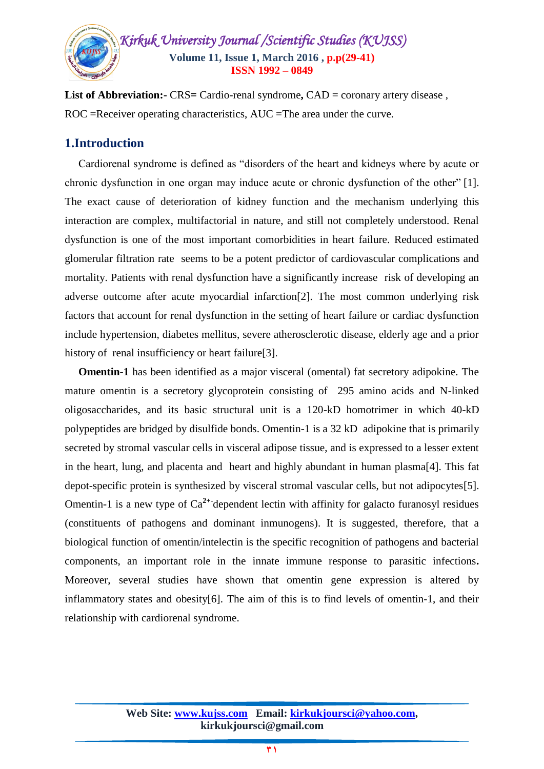

List of Abbreviation:- CRS= Cardio-renal syndrome, CAD = coronary artery disease, ROC =Receiver operating characteristics, AUC =The area under the curve.

#### **1.Introduction**

 Cardiorenal syndrome is defined as "disorders of the heart and kidneys where by acute or chronic dysfunction in one organ may induce acute or chronic dysfunction of the other" [1]. The exact cause of deterioration of kidney function and the mechanism underlying this interaction are complex, multifactorial in nature, and still not completely understood. Renal dysfunction is one of the most important comorbidities in heart failure. Reduced estimated glomerular filtration rate seems to be a potent predictor of cardiovascular complications and mortality. Patients with renal dysfunction have a significantly increase risk of developing an adverse outcome after acute myocardial infarction[2]. The most common underlying risk factors that account for renal dysfunction in the setting of heart failure or cardiac dysfunction include hypertension, diabetes mellitus, severe atherosclerotic disease, elderly age and a prior history of renal insufficiency or heart failure<sup>[3]</sup>.

 **Omentin-1** has been identified as a major visceral (omental) fat secretory adipokine. The mature omentin is a secretory glycoprotein consisting of 295 amino acids and N-linked oligosaccharides, and its basic structural unit is a 120-kD homotrimer in which 40-kD polypeptides are bridged by disulfide bonds. Omentin-1 is a 32 kD adipokine that is primarily secreted by stromal vascular cells in visceral adipose tissue, and is expressed to a lesser extent in the heart, lung, and placenta and heart and highly abundant in human plasma[4]. This fat depot-specific protein is synthesized by visceral stromal vascular cells, but not adipocytes[5]. Omentin-1 is a new type of Ca<sup>2+-</sup>dependent lectin with affinity for galacto furanosyl residues (constituents of pathogens and dominant inmunogens). It is suggested, therefore, that a biological function of omentin/intelectin is the specific recognition of pathogens and bacterial components, an important role in the innate immune response to parasitic infections**.** Moreover, several studies have shown that omentin gene expression is altered by inflammatory states and obesity[6]. The aim of this is to find levels of omentin-1, and their relationship with cardiorenal syndrome.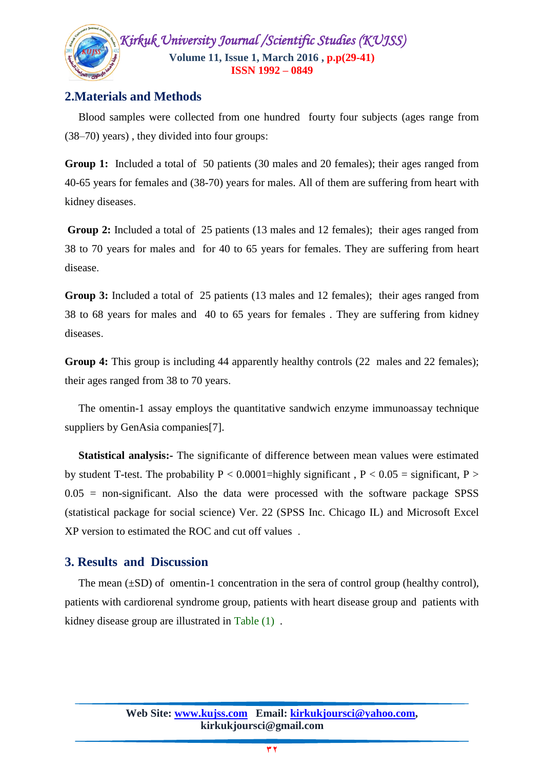

## **2.Materials and Methods**

 Blood samples were collected from one hundred fourty four subjects (ages range from (38–70) years) , they divided into four groups:

**Group 1:** Included a total of 50 patients (30 males and 20 females); their ages ranged from 40-65 years for females and (38-70) years for males. All of them are suffering from heart with kidney diseases.

**Group 2:** Included a total of 25 patients (13 males and 12 females); their ages ranged from 38 to 70 years for males and for 40 to 65 years for females. They are suffering from heart disease.

**Group 3:** Included a total of 25 patients (13 males and 12 females); their ages ranged from 38 to 68 years for males and 40 to 65 years for females . They are suffering from kidney diseases.

**Group 4:** This group is including 44 apparently healthy controls (22 males and 22 females); their ages ranged from 38 to 70 years.

 The omentin-1 assay employs the quantitative sandwich enzyme immunoassay technique suppliers by GenAsia companies[7].

 **Statistical analysis:-** The significante of difference between mean values were estimated by student T-test. The probability  $P < 0.0001$ =highly significant,  $P < 0.05$  = significant, P >  $0.05$  = non-significant. Also the data were processed with the software package SPSS (statistical package for social science) Ver. 22 (SPSS Inc. Chicago IL) and Microsoft Excel XP version to estimated the ROC and cut off values .

## **3. Results and Discussion**

The mean  $(\pm SD)$  of omentin-1 concentration in the sera of control group (healthy control), patients with cardiorenal syndrome group, patients with heart disease group and patients with kidney disease group are illustrated in Table (1) .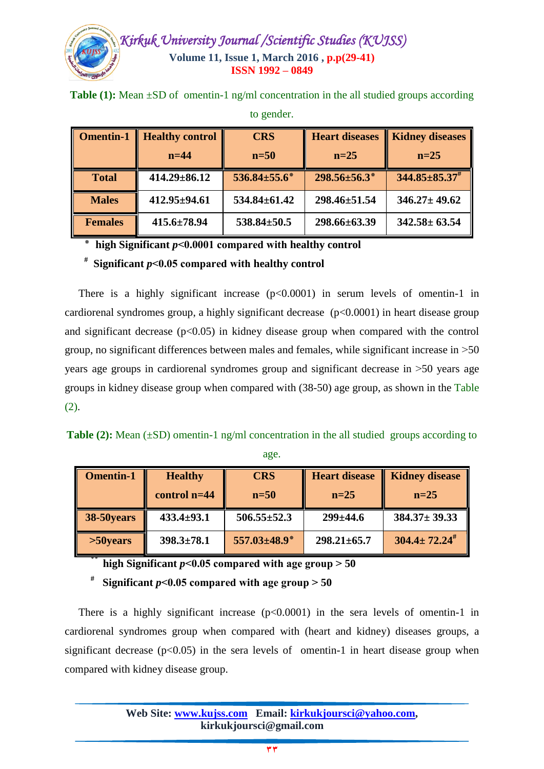

| <b>Omentin-1</b> | <b>Healthy control</b><br>$n=44$ | <b>CRS</b><br>$n=50$ | <b>Heart diseases</b><br>$n=25$ | <b>Kidney diseases</b><br>$n=25$ |
|------------------|----------------------------------|----------------------|---------------------------------|----------------------------------|
| <b>Total</b>     | $414.29 \pm 86.12$               | $536.84 \pm 55.6^*$  | $298.56 \pm 56.3^*$             | $344.85 \pm 85.37^{\#}$          |
| <b>Males</b>     | 412.95±94.61                     | $534.84 \pm 61.42$   | 298.46±51.54                    | $346.27 \pm 49.62$               |
| <b>Females</b>   | $415.6 \pm 78.94$                | $538.84 \pm 50.5$    | 298.66±63.39                    | $342.58 \pm 63.54$               |

**Table (1):** Mean  $\pm$ SD of omentin-1 ng/ml concentration in the all studied groups according

to gender.

**٭ high Significant** *p***˂0.0001 compared with healthy control** 

**# Significant** *p***˂0.05 compared with healthy control**

There is a highly significant increase  $(p<0.0001)$  in serum levels of omentin-1 in cardiorenal syndromes group, a highly significant decrease (p<0.0001) in heart disease group and significant decrease  $(p<0.05)$  in kidney disease group when compared with the control group, no significant differences between males and females, while significant increase in <50 years age groups in cardiorenal syndromes group and significant decrease in <50 years age groups in kidney disease group when compared with (38-50) age group, as shown in the Table (2).

**Table (2):** Mean (±SD) omentin-1 ng/ml concentration in the all studied groups according to age.

| <b>Omentin-1</b> | <b>Healthy</b>   | <b>CRS</b>        | <b>Heart disease</b> | <b>Kidney disease</b>  |
|------------------|------------------|-------------------|----------------------|------------------------|
|                  | control $n=44$   | $n=50$            | $n=25$               | $n=25$                 |
| 38-50 years      | $433.4 \pm 93.1$ | $506.55 \pm 52.3$ | $299 \pm 44.6$       | $384.37 \pm 39.33$     |
| $>50$ years      | $398.3 \pm 78.1$ | 557.03±48.9*      | $298.21 \pm 65.7$    | $304.4 \pm 72.24^{\#}$ |

**high Significant**  $p < 0.05$  **compared with age group**  $> 50$ 

**#** Significant  $p < 0.05$  compared with age group  $> 50$ 

There is a highly significant increase  $(p<0.0001)$  in the sera levels of omentin-1 in cardiorenal syndromes group when compared with (heart and kidney) diseases groups, a significant decrease  $(p<0.05)$  in the sera levels of omentin-1 in heart disease group when compared with kidney disease group.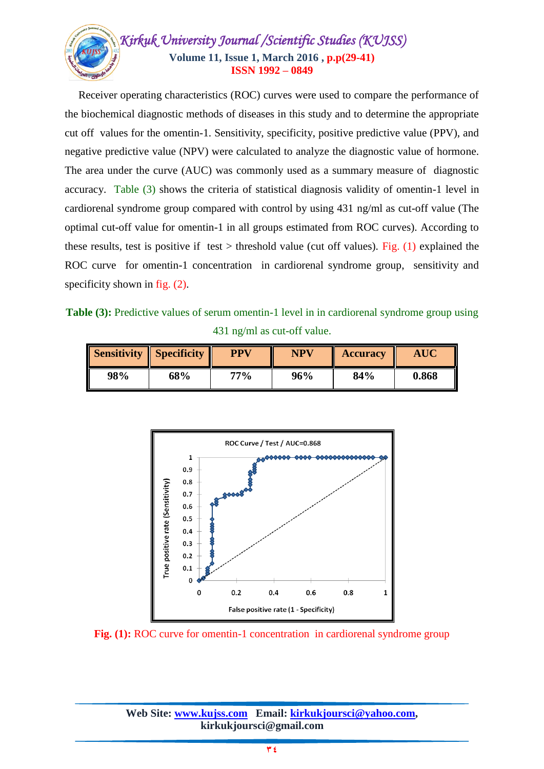

 Receiver operating characteristics (ROC) curves were used to compare the performance of the biochemical diagnostic methods of diseases in this study and to determine the appropriate cut off values for the omentin-1. Sensitivity, specificity, positive predictive value (PPV), and negative predictive value (NPV) were calculated to analyze the diagnostic value of hormone. The area under the curve (AUC) was commonly used as a summary measure of diagnostic accuracy. Table (3) shows the criteria of statistical diagnosis validity of omentin-1 level in cardiorenal syndrome group compared with control by using 431 ng/ml as cut-off value (The optimal cut-off value for omentin-1 in all groups estimated from ROC curves). According to these results, test is positive if test > threshold value (cut off values). Fig.  $(1)$  explained the ROC curve for omentin-1 concentration in cardiorenal syndrome group, sensitivity and specificity shown in fig.  $(2)$ .

**Table (3):** Predictive values of serum omentin-1 level in in cardiorenal syndrome group using 431 ng/ml as cut-off value.

| <b>Sensitivity Specificity</b> |     | <b>PPV</b> | <b>NPV</b> | <b>Accuracy</b> | <b>AUC</b> |
|--------------------------------|-----|------------|------------|-----------------|------------|
| 98%                            | 68% | 77%        | 96%        | 84%             | 0.868      |



**Fig.** (1): ROC curve for omentin-1 concentration in cardiorenal syndrome group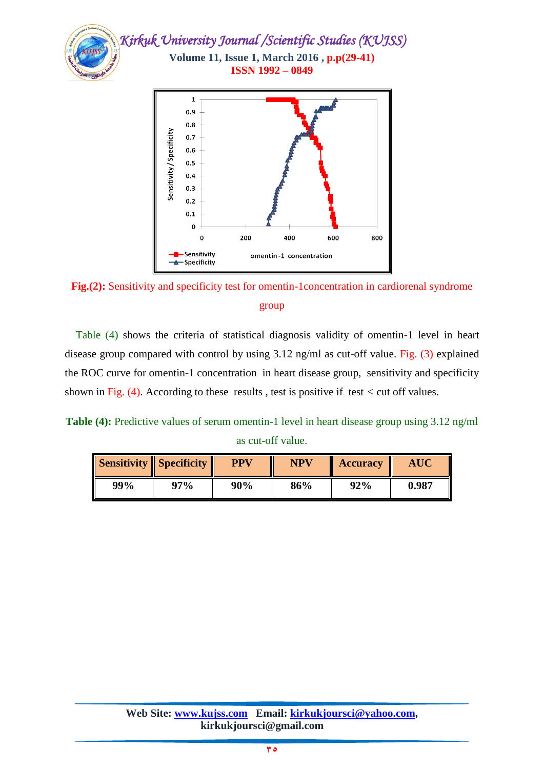



 Table (4) shows the criteria of statistical diagnosis validity of omentin-1 level in heart disease group compared with control by using 3.12 ng/ml as cut-off value. Fig. (3) explained the ROC curve for omentin-1 concentration in heart disease group, sensitivity and specificity shown in Fig. (4). According to these results , test is positive if test *<* cut off values.

Table (4): Predictive values of serum omentin-1 level in heart disease group using 3.12 ng/ml as cut-off value.

| <b>Sensitivity Specificity</b> |     | <b>PPV</b> | <b>NPV</b> | <b>Accuracy</b> | <b>AUC</b> |
|--------------------------------|-----|------------|------------|-----------------|------------|
| 99%                            | 97% | 90%        | 86%        | 92%             | 0.987      |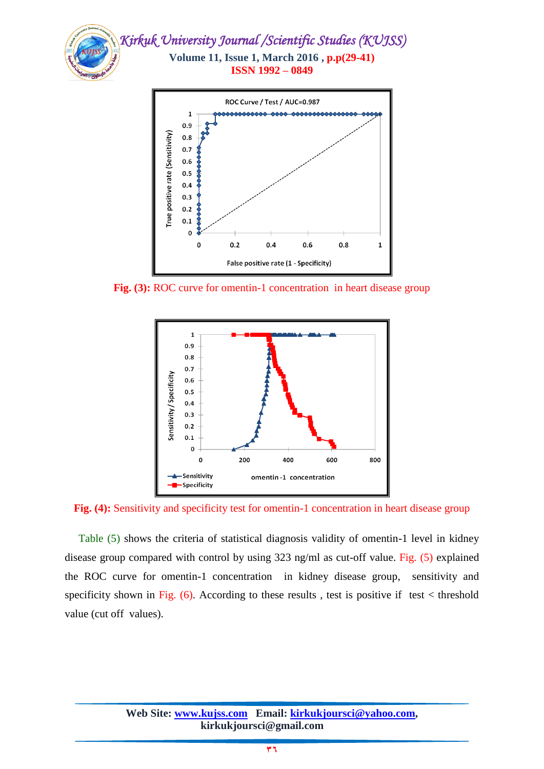



**Fig. (3):** ROC curve for omentin-1 concentration in heart disease group



**Fig.** (4): Sensitivity and specificity test for omentin-1 concentration in heart disease group

 Table (5) shows the criteria of statistical diagnosis validity of omentin-1 level in kidney disease group compared with control by using 323 ng/ml as cut-off value. Fig. (5) explained the ROC curve for omentin-1 concentration in kidney disease group, sensitivity and specificity shown in Fig.  $(6)$ . According to these results, test is positive if test < threshold value (cut off values).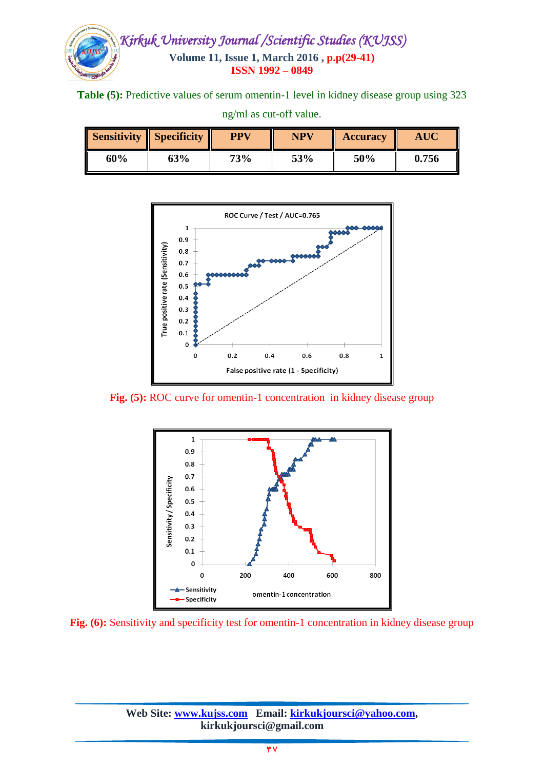

**Table (5):** Predictive values of serum omentin-1 level in kidney disease group using 323

|     | <b>Sensitivity Specificity</b> | <b>PPV</b> | <b>NPV</b> | <b>Accuracy</b> |            |
|-----|--------------------------------|------------|------------|-----------------|------------|
| 60% | 63%                            | 73%        | 53%        | 50%             | I<br>0.756 |



**Fig. (5):** ROC curve for omentin-1 concentration in kidney disease group



**Fig.** (6): Sensitivity and specificity test for omentin-1 concentration in kidney disease group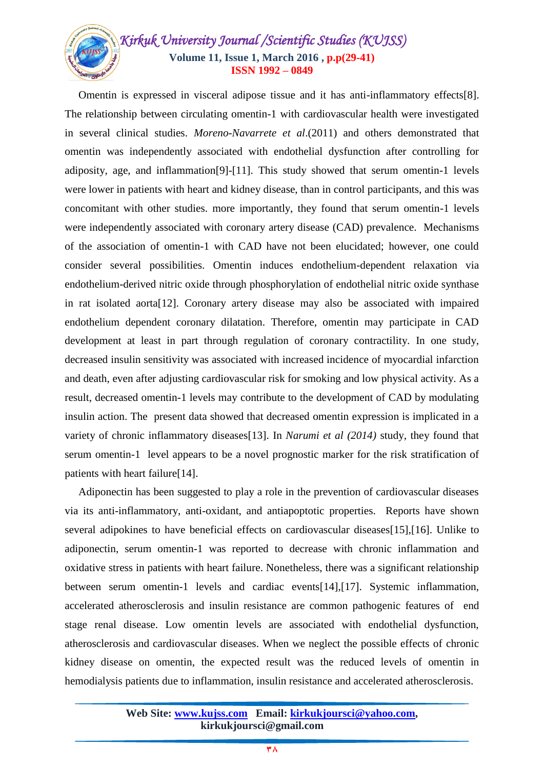## *Kirkuk University Journal /Scientific Studies (KUJSS)*  **Volume 11, Issue 1, March 2016 , p.p(29-41) ISSN 1992 – 0849**

 Omentin is expressed in visceral adipose tissue and it has anti-inflammatory effects[8]. The relationship between circulating omentin-1 with cardiovascular health were investigated in several clinical studies. *Moreno-Navarrete et al*.(2011) and others demonstrated that omentin was independently associated with endothelial dysfunction after controlling for adiposity, age, and inflammation[9]-[11]. This study showed that serum omentin-1 levels were lower in patients with heart and kidney disease, than in control participants, and this was concomitant with other studies. more importantly, they found that serum omentin-1 levels were independently associated with coronary artery disease (CAD) prevalence. Mechanisms of the association of omentin-1 with CAD have not been elucidated; however, one could consider several possibilities. Omentin induces endothelium-dependent relaxation via endothelium-derived nitric oxide through phosphorylation of endothelial nitric oxide synthase in rat isolated aorta[12]. Coronary artery disease may also be associated with impaired endothelium dependent coronary dilatation. Therefore, omentin may participate in CAD development at least in part through regulation of coronary contractility. In one study, decreased insulin sensitivity was associated with increased incidence of myocardial infarction and death, even after adjusting cardiovascular risk for smoking and low physical activity. As a result, decreased omentin-1 levels may contribute to the development of CAD by modulating insulin action. The present data showed that decreased omentin expression is implicated in a variety of chronic inflammatory diseases[13]. In *Narumi et al (2014)* study, they found that serum omentin-1 level appears to be a novel prognostic marker for the risk stratification of patients with heart failure[14].

 Adiponectin has been suggested to play a role in the prevention of cardiovascular diseases via its anti-inflammatory, anti-oxidant, and antiapoptotic properties. Reports have shown several adipokines to have beneficial effects on cardiovascular diseases[15],[16]. Unlike to adiponectin, serum omentin-1 was reported to decrease with chronic inflammation and oxidative stress in patients with heart failure. Nonetheless, there was a significant relationship between serum omentin-1 levels and cardiac events[14],[17]. Systemic inflammation, accelerated atherosclerosis and insulin resistance are common pathogenic features of end stage renal disease. Low omentin levels are associated with endothelial dysfunction, atherosclerosis and cardiovascular diseases. When we neglect the possible effects of chronic kidney disease on omentin, the expected result was the reduced levels of omentin in hemodialysis patients due to inflammation, insulin resistance and accelerated atherosclerosis.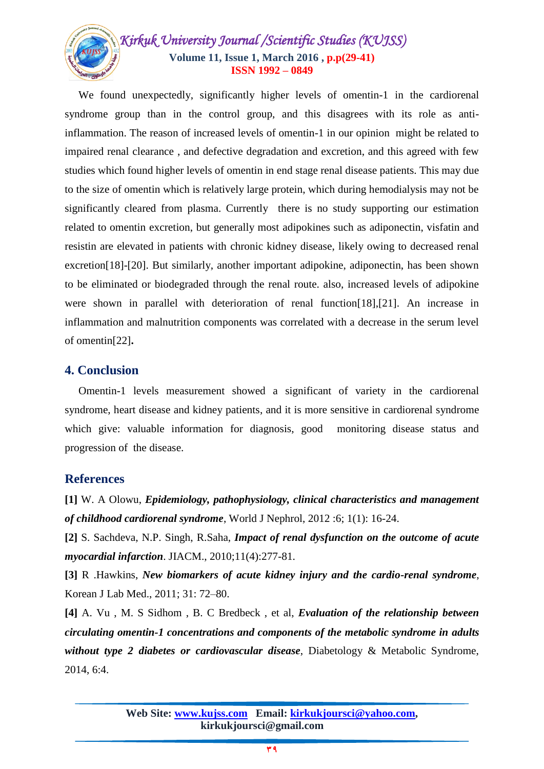# *Kirkuk University Journal /Scientific Studies (KUJSS)*  **Volume 11, Issue 1, March 2016 , p.p(29-41) ISSN 1992 – 0849**

 We found unexpectedly, significantly higher levels of omentin-1 in the cardiorenal syndrome group than in the control group, and this disagrees with its role as antiinflammation. The reason of increased levels of omentin-1 in our opinion might be related to impaired renal clearance , and defective degradation and excretion, and this agreed with few studies which found higher levels of omentin in end stage renal disease patients. This may due to the size of omentin which is relatively large protein, which during hemodialysis may not be significantly cleared from plasma. Currently there is no study supporting our estimation related to omentin excretion, but generally most adipokines such as adiponectin, visfatin and resistin are elevated in patients with chronic kidney disease, likely owing to decreased renal excretion[18]-[20]. But similarly, another important adipokine, adiponectin, has been shown to be eliminated or biodegraded through the renal route. also, increased levels of adipokine were shown in parallel with deterioration of renal function[18],[21]. An increase in inflammation and malnutrition components was correlated with a decrease in the serum level of omentin[22]**.**

## **4. Conclusion**

 Omentin-1 levels measurement showed a significant of variety in the cardiorenal syndrome, heart disease and kidney patients, and it is more sensitive in cardiorenal syndrome which give: valuable information for diagnosis, good monitoring disease status and progression of the disease.

## **References**

**[1]** W. A Olowu, *Epidemiology, pathophysiology, clinical characteristics and management of childhood cardiorenal syndrome*, World J Nephrol, 2012 :6; 1(1): 16-24.

**[2]** S. Sachdeva, N.P. Singh, R.Saha, *Impact of renal dysfunction on the outcome of acute myocardial infarction*. JIACM., 2010;11(4):277-81.

**[3]** R .Hawkins, *New biomarkers of acute kidney injury and the cardio-renal syndrome*, Korean J Lab Med., 2011; 31: 72–80.

**[4]** A. Vu , M. S Sidhom , B. C Bredbeck , et al, *Evaluation of the relationship between circulating omentin-1 concentrations and components of the metabolic syndrome in adults without type 2 diabetes or cardiovascular disease*, Diabetology & Metabolic Syndrome, 2014, 6:4.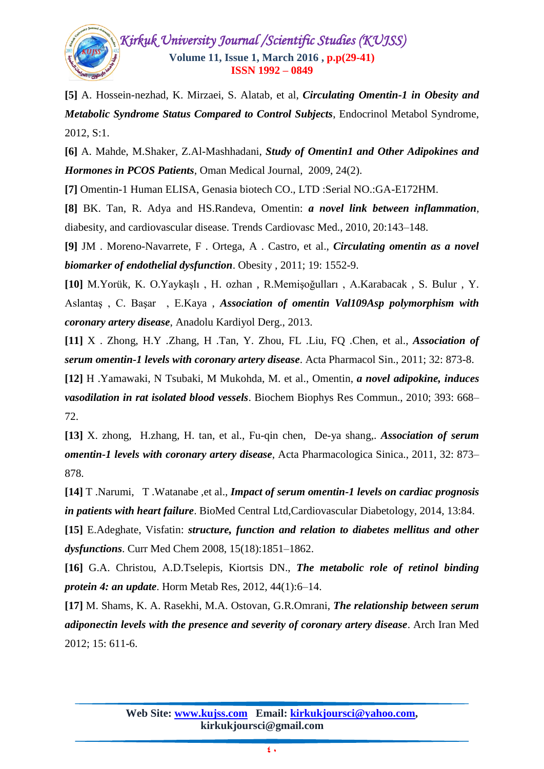

**[5]** A. Hossein-nezhad, K. Mirzaei, S. Alatab, et al, *Circulating Omentin-1 in Obesity and Metabolic Syndrome Status Compared to Control Subjects*, Endocrinol Metabol Syndrome, 2012, S:1.

**[6]** A. Mahde, M.Shaker, Z.Al-Mashhadani, *Study of Omentin1 and Other Adipokines and Hormones in PCOS Patients*, Oman Medical Journal, 2009, 24(2).

**[7]** Omentin-1 Human ELISA, Genasia biotech CO., LTD :Serial NO.:GA-E172HM.

**[8]** BK. Tan, R. Adya and HS.Randeva, Omentin: *a novel link between inflammation*, diabesity, and cardiovascular disease. Trends Cardiovasc Med., 2010, 20:143–148.

**[9]** JM . Moreno-Navarrete, F . Ortega, A . Castro, et al., *Circulating omentin as a novel biomarker of endothelial dysfunction*. Obesity , 2011; 19: 1552-9.

**[10]** M.Yorük, K. O.Yaykaşlı , H. ozhan , R.Memişoğulları , A.Karabacak , S. Bulur , Y. Aslantaş , C. Başar , E.Kaya , *Association of omentin Val109Asp polymorphism with coronary artery disease*, Anadolu Kardiyol Derg., 2013.

**[11]** X . Zhong, H.Y .Zhang, H .Tan, Y. Zhou, FL .Liu, FQ .Chen, et al., *Association of serum omentin-1 levels with coronary artery disease*. Acta Pharmacol Sin., 2011; 32: 873-8.

**[12]** H .Yamawaki, N Tsubaki, M Mukohda, M. et al., Omentin, *a novel adipokine, induces vasodilation in rat isolated blood vessels*. Biochem Biophys Res Commun., 2010; 393: 668– 72.

**[13]** X. zhong, H.zhang, H. tan, et al., Fu-qin chen, De-ya shang,. *Association of serum omentin-1 levels with coronary artery disease*, Acta Pharmacologica Sinica., 2011, 32: 873– 878.

**[14]** T .Narumi, T .Watanabe ,et al., *Impact of serum omentin-1 levels on cardiac prognosis in patients with heart failure*. BioMed Central Ltd,Cardiovascular Diabetology, 2014, 13:84.

**[15]** E.Adeghate, Visfatin: *structure, function and relation to diabetes mellitus and other dysfunctions*. Curr Med Chem 2008, 15(18):1851–1862.

**[16]** G.A. Christou, A.D.Tselepis, Kiortsis DN., *The metabolic role of retinol binding protein 4: an update*. Horm Metab Res, 2012, 44(1):6–14.

**[17]** M. Shams, K. A. Rasekhi, M.A. Ostovan, G.R.Omrani, *The relationship between serum adiponectin levels with the presence and severity of coronary artery disease*. Arch Iran Med 2012; 15: 611-6.